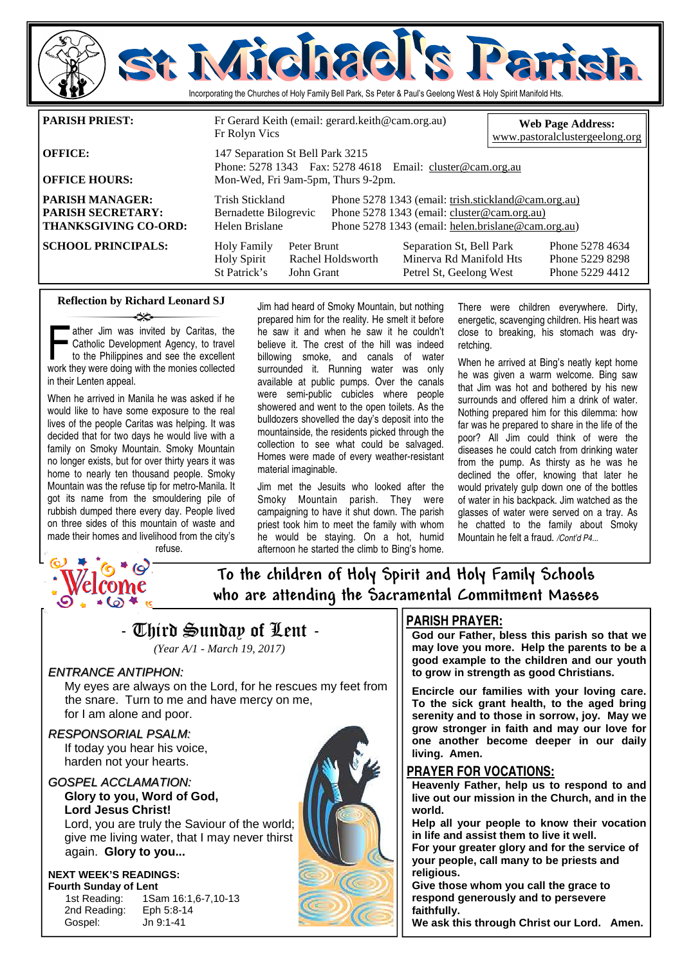

**OFFICE HOURS:** Mon-Wed, Fri 9am-5pm, Thurs 9-2pm. **PARISH MANAGER:** Trish Stickland Phone 5278 1343 (email: trish.stickland@cam.org.au) **PARISH SECRETARY:** Bernadette Bilogrevic Phone 5278 1343 (email: cluster @cam.org.au)<br> **THANKSGIVING CO-ORD:** Helen Brislane Phone 5278 1343 (email: helen.brislane @cam.org.au) **THANKSGIVING CO-ORD:** Helen Brislane Phone 5278 1343 (email: helen.brislane@cam.org.au) **SCHOOL PRINCIPALS:** Holy Family Peter Brunt Separation St, Bell Park Phone 5278 4634<br>Holy Spirit Rachel Holdsworth Minerya Rd Manifold Hts Phone 5229 8298 Holy Spirit Rachel Holdsworth Minerva Rd Manifold Hts Phone 5229 8298 Petrel St, Geelong West

#### **Reflection by Richard Leonard SJ**

ather Jim was invited by Caritas, the Catholic Development Agency, to travel to the Philippines and see the excellent work they were doing with the monies collected in their Lenten appeal.

When he arrived in Manila he was asked if he would like to have some exposure to the real lives of the people Caritas was helping. It was decided that for two days he would live with a family on Smoky Mountain. Smoky Mountain no longer exists, but for over thirty years it was home to nearly ten thousand people. Smoky Mountain was the refuse tip for metro-Manila. It got its name from the smouldering pile of rubbish dumped there every day. People lived on three sides of this mountain of waste and made their homes and livelihood from the city's refuse.

Jim had heard of Smoky Mountain, but nothing prepared him for the reality. He smelt it before he saw it and when he saw it he couldn't believe it. The crest of the hill was indeed billowing smoke, and canals of water surrounded it. Running water was only available at public pumps. Over the canals were semi-public cubicles where people showered and went to the open toilets. As the bulldozers shovelled the day's deposit into the mountainside, the residents picked through the collection to see what could be salvaged. Homes were made of every weather-resistant material imaginable.

Jim met the Jesuits who looked after the Smoky Mountain parish. They were campaigning to have it shut down. The parish priest took him to meet the family with whom he would be staying. On a hot, humid afternoon he started the climb to Bing's home. There were children everywhere. Dirty, energetic, scavenging children. His heart was close to breaking, his stomach was dryretching.

When he arrived at Bing's neatly kept home he was given a warm welcome. Bing saw that Jim was hot and bothered by his new surrounds and offered him a drink of water. Nothing prepared him for this dilemma: how far was he prepared to share in the life of the poor? All Jim could think of were the diseases he could catch from drinking water from the pump. As thirsty as he was he declined the offer, knowing that later he would privately gulp down one of the bottles of water in his backpack. Jim watched as the glasses of water were served on a tray. As he chatted to the family about Smoky Mountain he felt a fraud. /Cont'd P4...



To the children of Holy Spirit and Holy Family Schools who are attending the Sacramental Commitment Masses

### - Third Sunday of Lent - *(Year A/1 - March 19, 2017)*

#### ENTRANCE ANTIPHON:

 My eyes are always on the Lord, for he rescues my feet from the snare. Turn to me and have mercy on me, for I am alone and poor.

#### RESPONSORIAL PSALM:

 If today you hear his voice, harden not your hearts.

#### GOSPEL ACCLAMATION: **Glory to you, Word of God, Lord Jesus Christ!**

Lord, you are truly the Saviour of the world; give me living water, that I may never thirst again. **Glory to you...** 

#### **NEXT WEEK'S READINGS: Fourth Sunday of Lent**

1st Reading: 1Sam 16:1,6-7,10-13 2nd Reading: Eph 5:8-14 Gospel: Jn 9:1-41



#### **PARISH PRAYER:**

**God our Father, bless this parish so that we may love you more. Help the parents to be a good example to the children and our youth to grow in strength as good Christians.** 

**Encircle our families with your loving care. To the sick grant health, to the aged bring serenity and to those in sorrow, joy. May we grow stronger in faith and may our love for one another become deeper in our daily living. Amen.** 

#### **PRAYER FOR VOCATIONS:**

**Heavenly Father, help us to respond to and live out our mission in the Church, and in the world.** 

**Help all your people to know their vocation in life and assist them to live it well.** 

**For your greater glory and for the service of your people, call many to be priests and religious.** 

**Give those whom you call the grace to respond generously and to persevere faithfully.** 

**We ask this through Christ our Lord. Amen.**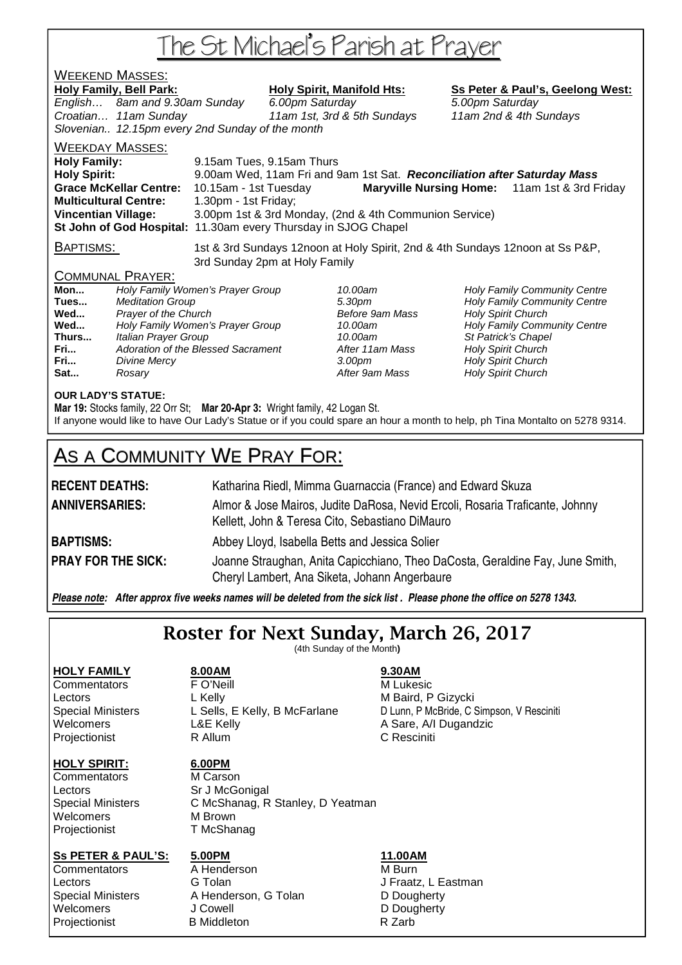# The St Michael's Parish at Prayer

## **WEEKEND MASSES:**<br>Holy Family, Bell Park:

### Holy Spirit, Manifold Hts: Ss Peter & Paul's, Geelong West:

English… 8am and 9.30am Sunday 6.00pm Saturday 5.00pm Saturday Croatian… 11am Sunday 11am 1st, 3rd & 5th Sundays 11am 2nd & 4th Sundays Slovenian.. 12.15pm every 2nd Sunday of the month

#### WEEKDAY MASSES:

**Holy Family:** 9.15am Tues, 9.15am Thurs **Holy Spirit:** 9.00am Wed, 11am Fri and 9am 1st Sat. **Reconciliation after Saturday Mass Grace McKellar Centre:** 10.15am - 1st Tuesday **Maryville Nursing Home:** 11am 1st & 3rd Friday **Multicultural Centre:** 1.30pm - 1st Friday; **Vincentian Village:** 3.00pm 1st & 3rd Monday, (2nd & 4th Communion Service) **St John of God Hospital:** 11.30am every Thursday in SJOG Chapel

BAPTISMS: 1st & 3rd Sundays 12noon at Holy Spirit, 2nd & 4th Sundays 12noon at Ss P&P, 3rd Sunday 2pm at Holy Family

### COMMUNAL PRAYER:

| Mon   | Holy Family Women's Prayer Group   |
|-------|------------------------------------|
| Tues  | <b>Meditation Group</b>            |
| Wed   | Prayer of the Church               |
| Wed   | Holy Family Women's Prayer Group   |
| Thurs | Italian Prayer Group               |
| Fri   | Adoration of the Blessed Sacrament |
| Fri   | Divine Mercy                       |
| Sat   | Rosary                             |

After 9am Mass **Holy Spirit Church** 

10.00am **Holy Family Community Centre Tues 30pm Holy Family Community Centre Before 9am Mass Holy Spirit Church** 10.00am **Holy Family Community Centre** 10.00am St Patrick's Chapel After 11am Mass **Holy Spirit Church Franch 3.00pm** Holy Spirit Church

#### **OUR LADY'S STATUE:**

**Mar 19:** Stocks family, 22 Orr St; **Mar 20-Apr 3:** Wright family, 42 Logan St. If anyone would like to have Our Lady's Statue or if you could spare an hour a month to help, ph Tina Montalto on 5278 9314.

## AS A COMMUNITY WE PRAY FOR:

| <b>RECENT DEATHS:</b>     | Katharina Riedl, Mimma Guarnaccia (France) and Edward Skuza                                                                     |
|---------------------------|---------------------------------------------------------------------------------------------------------------------------------|
| <b>ANNIVERSARIES:</b>     | Almor & Jose Mairos, Judite DaRosa, Nevid Ercoli, Rosaria Traficante, Johnny<br>Kellett, John & Teresa Cito, Sebastiano DiMauro |
| <b>BAPTISMS:</b>          | Abbey Lloyd, Isabella Betts and Jessica Solier                                                                                  |
| <b>PRAY FOR THE SICK:</b> | Joanne Straughan, Anita Capicchiano, Theo DaCosta, Geraldine Fay, June Smith,<br>Cheryl Lambert, Ana Siketa, Johann Angerbaure  |

*Please note: After approx five weeks names will be deleted from the sick list . Please phone the office on 5278 1343.*

## Roster for Next Sunday, March 26, 2017

(4th Sunday of the Month**)** 

### **HOLY SPIRIT: 6.00PM**

Commentators M Carson Lectors Sr J McGonigal Welcomers M Brown Projectionist T McShanag

**HOLY FAMILY 8.00AM 9.30AM Commentators F O'Neill Commentators M** Lukesic Lectors L Kelly **Contained A L And A L Kelly** M Baird, P Gizycki Projectionist **R** Allum **C Resciniti** 

Special Ministers C McShanag, R Stanley, D Yeatman

#### **SS PETER & PAUL'S: 5.00PM 11.00AM**

**Projectionist** 

Commentators A Henderson M Burn Lectors G Tolan J Fraatz, L Eastman Special Ministers A Henderson, G Tolan D Dougherty A Henderson, G Tolan D Dougherty<br>
J Cowell D Dougherty Welcomers J Cowell J Comercial Communication of D Dougherty<br>
D Dougherty<br>
D Dougherty<br>
D Dougherty<br>
D Dougherty

Special Ministers Littude Collis, E Kelly, B McFarlane Colum, P McBride, C Simpson, V Resciniti<br>
Welcomers Collis C L&E Kelly Collis A Sare, A/I Dugandzic A Sare, A/I Dugandzic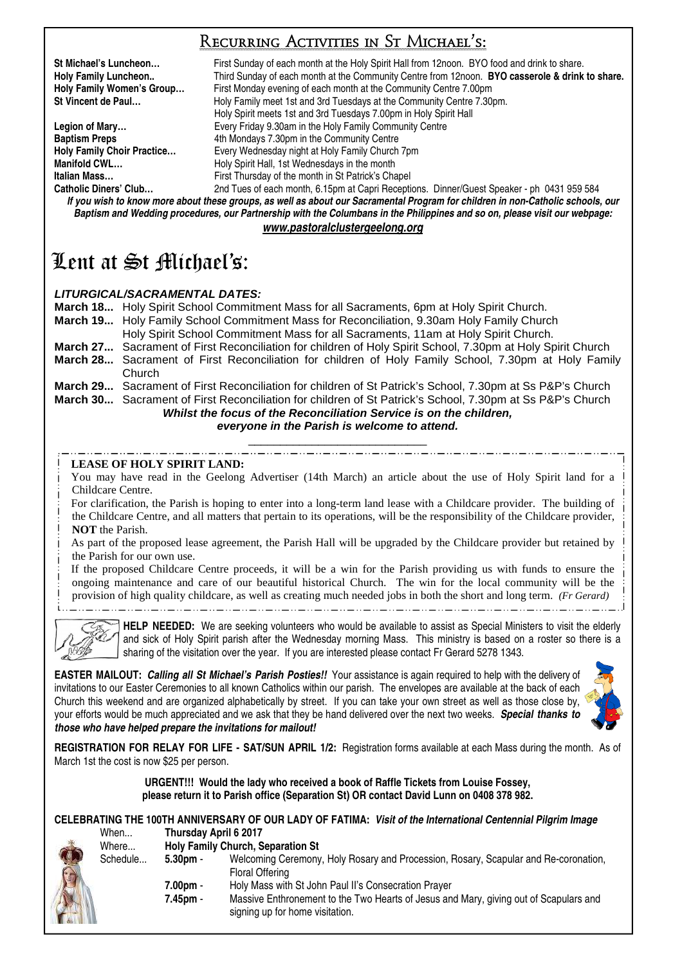## Recurring Activities in St Michael's:

**St Michael's Luncheon…** First Sunday of each month at the Holy Spirit Hall from 12noon. BYO food and drink to share. **Holy Family Luncheon..** Third Sunday of each month at the Community Centre from 12noon. **BYO casserole & drink to share. Holy Family Women's Group...** First Monday evening of each month at the Community Centre 7.00pm<br>St Vincent de Paul... Holy Family meet 1st and 3rd Tuesdays at the Community Centre 7.30 Holy Family meet 1st and 3rd Tuesdays at the Community Centre 7.30pm. Holy Spirit meets 1st and 3rd Tuesdays 7.00pm in Holy Spirit Hall **Legion of Mary... Every Friday 9.30am in the Holy Family Community Centre Baptism Preps** 4th Mondays 7.30pm in the Community Centre **Holy Family Chaptice Legation Chaptice Holy Family Church Holy Family Choir Practice…** Every Wednesday night at Holy Family Church 7pm **Manifold CWL... Holy Spirit Hall, 1st Wednesdays in the month Italian Mass... First Thursday of the month in St Patrick's Chapel Catholic Diners' Club…** 2nd Tues of each month, 6.15pm at Capri Receptions. Dinner/Guest Speaker - ph 0431 959 584

*If you wish to know more about these groups, as well as about our Sacramental Program for children in non-Catholic schools, our Baptism and Wedding procedures, our Partnership with the Columbans in the Philippines and so on, please visit our webpage: www.pastoralclustergeelong.org*

## Lent at St Michael's:

### **LITURGICAL/SACRAMENTAL DATES:**

**March 18...** Holy Spirit School Commitment Mass for all Sacraments, 6pm at Holy Spirit Church. **March 19...** Holy Family School Commitment Mass for Reconciliation, 9.30am Holy Family Church Holy Spirit School Commitment Mass for all Sacraments, 11am at Holy Spirit Church. **March 27...** Sacrament of First Reconciliation for children of Holy Spirit School, 7.30pm at Holy Spirit Church **March 28...** Sacrament of First Reconciliation for children of Holy Family School, 7.30pm at Holy Family Church **March 29...** Sacrament of First Reconciliation for children of St Patrick's School, 7.30pm at Ss P&P's Church **March 30...** Sacrament of First Reconciliation for children of St Patrick's School, 7.30pm at Ss P&P's Church

#### **Whilst the focus of the Reconciliation Service is on the children, everyone in the Parish is welcome to attend.**  \_\_\_\_\_\_\_\_\_\_\_\_\_\_\_\_\_\_\_\_\_\_\_\_\_\_\_\_

#### **LEASE OF HOLY SPIRIT LAND:**

You may have read in the Geelong Advertiser (14th March) an article about the use of Holy Spirit land for a Childcare Centre.

For clarification, the Parish is hoping to enter into a long-term land lease with a Childcare provider. The building of

the Childcare Centre, and all matters that pertain to its operations, will be the responsibility of the Childcare provider, **NOT** the Parish.

As part of the proposed lease agreement, the Parish Hall will be upgraded by the Childcare provider but retained by the Parish for our own use.

If the proposed Childcare Centre proceeds, it will be a win for the Parish providing us with funds to ensure the ongoing maintenance and care of our beautiful historical Church. The win for the local community will be the provision of high quality childcare, as well as creating much needed jobs in both the short and long term. *(Fr Gerard)*\_ . . \_\_ . . \_\_ . . \_\_ . . \_\_ . . \_\_ . . \_\_ . . \_\_ . . \_\_ . . \_\_ . . \_\_ . . \_\_

**HELP NEEDED:** We are seeking volunteers who would be available to assist as Special Ministers to visit the elderly and sick of Holy Spirit parish after the Wednesday morning Mass. This ministry is based on a roster so there is a sharing of the visitation over the year. If you are interested please contact Fr Gerard 5278 1343.

**EASTER MAILOUT:** *Calling all St Michael's Parish Posties!!* Your assistance is again required to help with the delivery of invitations to our Easter Ceremonies to all known Catholics within our parish. The envelopes are available at the back of each Church this weekend and are organized alphabetically by street. If you can take your own street as well as those close by, your efforts would be much appreciated and we ask that they be hand delivered over the next two weeks. *Special thanks to those who have helped prepare the invitations for mailout!*



**REGISTRATION FOR RELAY FOR LIFE - SAT/SUN APRIL 1/2:** Registration forms available at each Mass during the month. As of March 1st the cost is now \$25 per person.

#### **URGENT!!! Would the lady who received a book of Raffle Tickets from Louise Fossey, please return it to Parish office (Separation St) OR contact David Lunn on 0408 378 982.**

#### **CELEBRATING THE 100TH ANNIVERSARY OF OUR LADY OF FATIMA:** *Visit of the International Centennial Pilgrim Image* When... **Thursday April 6 2017**

| Where    |                    | <b>Holy Family Church, Separation St</b>                                                                                 |
|----------|--------------------|--------------------------------------------------------------------------------------------------------------------------|
| Schedule | 5.30 <sub>pm</sub> | Welcoming Ceremony, Holy Rosary and Procession, Rosary, Scapular and Re-coronation,                                      |
|          |                    | Floral Offering                                                                                                          |
|          | 7.00pm -           | Holy Mass with St John Paul II's Consecration Prayer                                                                     |
|          | 7.45pm -           | Massive Enthronement to the Two Hearts of Jesus and Mary, giving out of Scapulars and<br>signing up for home visitation. |